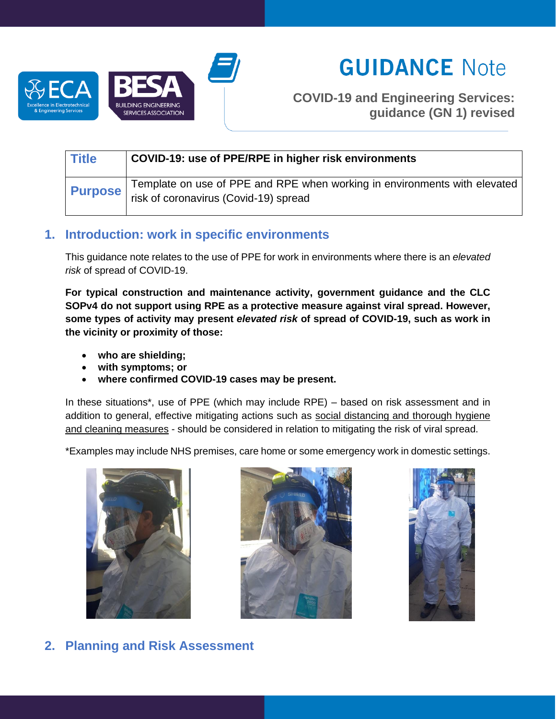

# **GUIDANCE Note**

**COVID-19 and Engineering Services: guidance (GN 1) revised**

| <b>Title</b>   | COVID-19: use of PPE/RPE in higher risk environments                                                               |
|----------------|--------------------------------------------------------------------------------------------------------------------|
| <b>Purpose</b> | Template on use of PPE and RPE when working in environments with elevated<br>risk of coronavirus (Covid-19) spread |

# **1. Introduction: work in specific environments**

This guidance note relates to the use of PPE for work in environments where there is an *elevated risk* of spread of COVID-19.

**For typical construction and maintenance activity, government guidance and the CLC SOPv4 do not support using RPE as a protective measure against viral spread. However, some types of activity may present** *elevated risk* **of spread of COVID-19, such as work in the vicinity or proximity of those:** 

- **who are shielding;**
- **with symptoms; or**
- **where confirmed COVID-19 cases may be present.**

In these situations\*, use of PPE (which may include RPE) – based on risk assessment and in addition to general, effective mitigating actions such as social distancing and thorough hygiene and cleaning measures - should be considered in relation to mitigating the risk of viral spread.

\*Examples may include NHS premises, care home or some emergency work in domestic settings.







**2. Planning and Risk Assessment**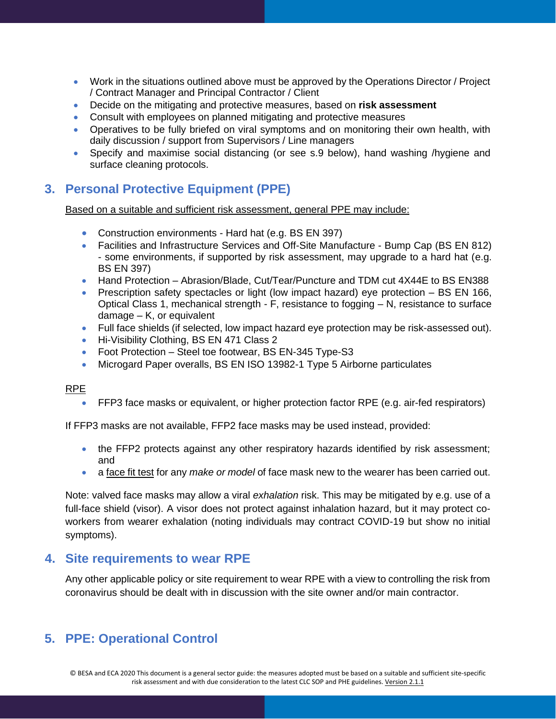- Work in the situations outlined above must be approved by the Operations Director / Project / Contract Manager and Principal Contractor / Client
- Decide on the mitigating and protective measures, based on **risk assessment**
- Consult with employees on planned mitigating and protective measures
- Operatives to be fully briefed on viral symptoms and on monitoring their own health, with daily discussion / support from Supervisors / Line managers
- Specify and maximise social distancing (or see s.9 below), hand washing /hygiene and surface cleaning protocols.

# **3. Personal Protective Equipment (PPE)**

Based on a suitable and sufficient risk assessment, general PPE may include:

- Construction environments Hard hat (e.g. BS EN 397)
- Facilities and Infrastructure Services and Off-Site Manufacture Bump Cap (BS EN 812) - some environments, if supported by risk assessment, may upgrade to a hard hat (e.g. BS EN 397)
- Hand Protection Abrasion/Blade, Cut/Tear/Puncture and TDM cut 4X44E to BS EN388
- Prescription safety spectacles or light (low impact hazard) eye protection BS EN 166, Optical Class 1, mechanical strength - F, resistance to fogging – N, resistance to surface damage – K, or equivalent
- Full face shields (if selected, low impact hazard eye protection may be risk-assessed out).
- Hi-Visibility Clothing, BS EN 471 Class 2
- Foot Protection Steel toe footwear, BS EN-345 Type-S3
- Microgard Paper overalls, BS EN ISO 13982-1 Type 5 Airborne particulates

#### RPE

• FFP3 face masks or equivalent, or higher protection factor RPE (e.g. air-fed respirators)

If FFP3 masks are not available, FFP2 face masks may be used instead, provided:

- the FFP2 protects against any other respiratory hazards identified by risk assessment; and
- a face fit test for any *make or model* of face mask new to the wearer has been carried out.

Note: valved face masks may allow a viral *exhalation* risk. This may be mitigated by e.g. use of a full-face shield (visor). A visor does not protect against inhalation hazard, but it may protect coworkers from wearer exhalation (noting individuals may contract COVID-19 but show no initial symptoms).

### **4. Site requirements to wear RPE**

Any other applicable policy or site requirement to wear RPE with a view to controlling the risk from coronavirus should be dealt with in discussion with the site owner and/or main contractor.

# **5. PPE: Operational Control**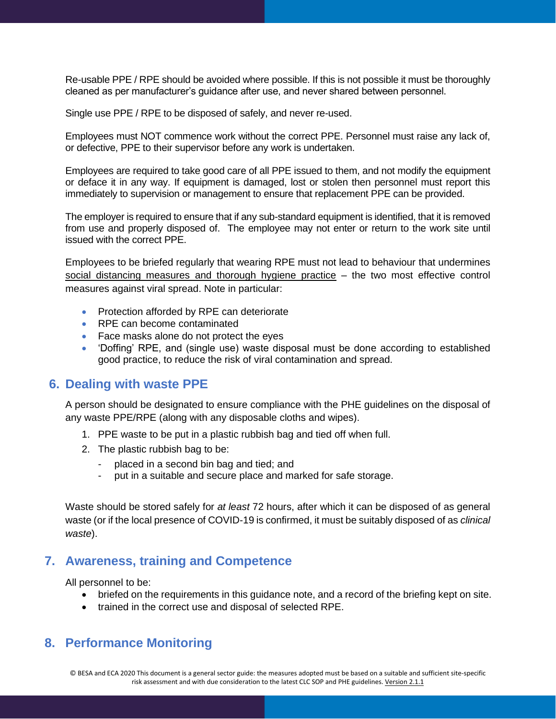Re-usable PPE / RPE should be avoided where possible. If this is not possible it must be thoroughly cleaned as per manufacturer's guidance after use, and never shared between personnel.

Single use PPE / RPE to be disposed of safely, and never re-used.

Employees must NOT commence work without the correct PPE. Personnel must raise any lack of, or defective, PPE to their supervisor before any work is undertaken.

Employees are required to take good care of all PPE issued to them, and not modify the equipment or deface it in any way. If equipment is damaged, lost or stolen then personnel must report this immediately to supervision or management to ensure that replacement PPE can be provided.

The employer is required to ensure that if any sub-standard equipment is identified, that it is removed from use and properly disposed of. The employee may not enter or return to the work site until issued with the correct PPE.

Employees to be briefed regularly that wearing RPE must not lead to behaviour that undermines social distancing measures and thorough hygiene practice – the two most effective control measures against viral spread. Note in particular:

- Protection afforded by RPE can deteriorate
- RPE can become contaminated
- Face masks alone do not protect the eyes
- 'Doffing' RPE, and (single use) waste disposal must be done according to established good practice, to reduce the risk of viral contamination and spread.

### **6. Dealing with waste PPE**

A person should be designated to ensure compliance with the PHE guidelines on the disposal of any waste PPE/RPE (along with any disposable cloths and wipes).

- 1. PPE waste to be put in a plastic rubbish bag and tied off when full.
- 2. The plastic rubbish bag to be:
	- placed in a second bin bag and tied; and
	- put in a suitable and secure place and marked for safe storage.

Waste should be stored safely for *at least* 72 hours, after which it can be disposed of as general waste (or if the local presence of COVID-19 is confirmed, it must be suitably disposed of as *clinical waste*).

# **7. Awareness, training and Competence**

All personnel to be:

- briefed on the requirements in this guidance note, and a record of the briefing kept on site.
- trained in the correct use and disposal of selected RPE.

# **8. Performance Monitoring**

© BESA and ECA 2020 This document is a general sector guide: the measures adopted must be based on a suitable and sufficient site-specific risk assessment and with due consideration to the latest CLC SOP and PHE guidelines. Version 2.1.1